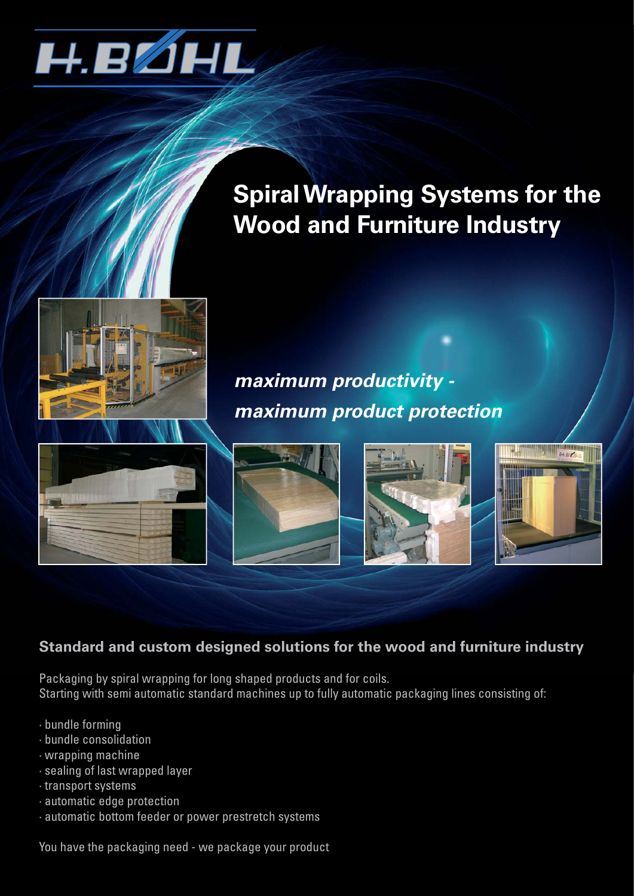

# **Spiral Wrapping Systems for the Wood and Furniture Industry**

# *maximum productivity maximum product protection*









#### **Standard and custom designed solutions for the wood and furniture industry**

Packaging by spiral wrapping for long shaped products and for coils. Starting with semi automatic standard machines up to fully automatic packaging lines consisting of:

- · bundle forming
- · bundle consolidation
- · wrapping machine
- · sealing of last wrapped layer
- · transport systems
- · automatic edge protection
- · automatic bottom feeder or power prestretch systems

You have the packaging need - we package your product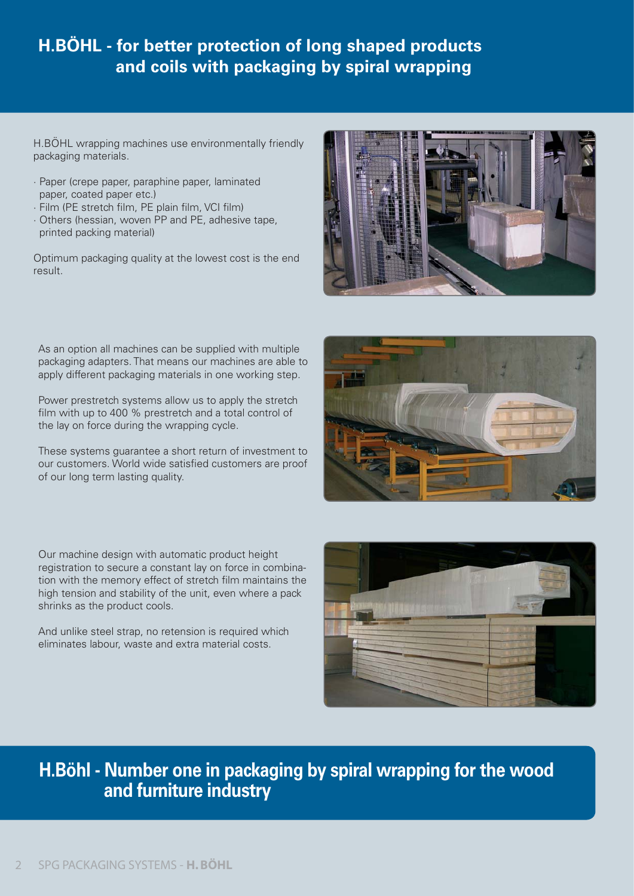#### **H.BÖHL - for better protection of long shaped products and coils with packaging by spiral wrapping**

H.BÖHL wrapping machines use environmentally friendly packaging materials.

- · Paper (crepe paper, paraphine paper, laminated paper, coated paper etc.)
- · Film (PE stretch film, PE plain film, VCI film)
- · Others (hessian, woven PP and PE, adhesive tape, printed packing material)

Optimum packaging quality at the lowest cost is the end result.



As an option all machines can be supplied with multiple packaging adapters. That means our machines are able to apply different packaging materials in one working step.

Power prestretch systems allow us to apply the stretch film with up to 400 % prestretch and a total control of the lay on force during the wrapping cycle.

These systems guarantee a short return of investment to our customers. World wide satisfied customers are proof of our long term lasting quality.

Our machine design with automatic product height registration to secure a constant lay on force in combination with the memory effect of stretch film maintains the high tension and stability of the unit, even where a pack shrinks as the product cools.

And unlike steel strap, no retension is required which eliminates labour, waste and extra material costs.





### **H.Böhl - Number one in packaging by spiral wrapping for the wood and furniture industry**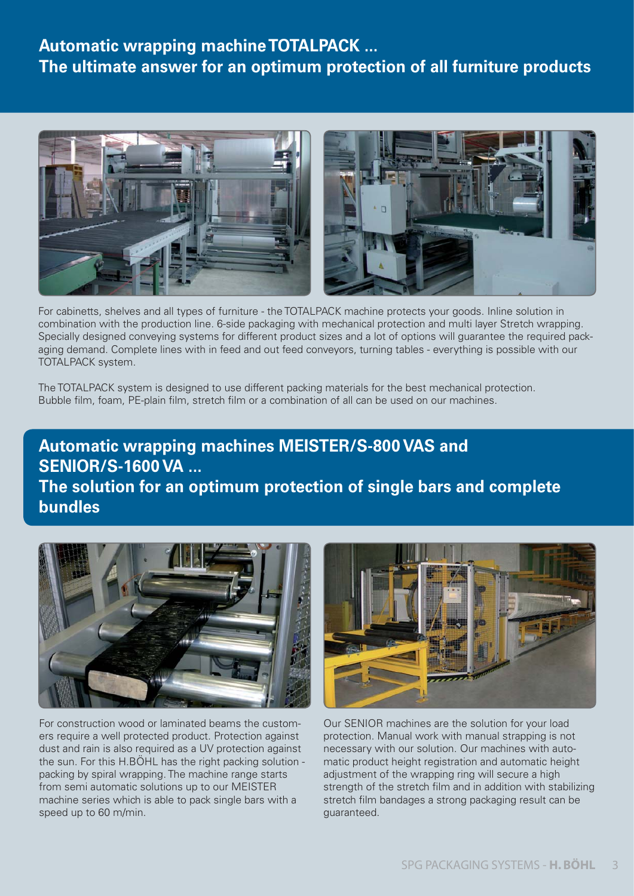#### **Automatic wrapping machine TOTALPACK ... The ultimate answer for an optimum protection of all furniture products**



For cabinetts, shelves and all types of furniture - the TOTALPACK machine protects your goods. Inline solution in combination with the production line. 6-side packaging with mechanical protection and multi layer Stretch wrapping. Specially designed conveying systems for different product sizes and a lot of options will guarantee the required packaging demand. Complete lines with in feed and out feed conveyors, turning tables - everything is possible with our TOTALPACK system.

The TOTALPACK system is designed to use different packing materials for the best mechanical protection. Bubble film, foam, PE-plain film, stretch film or a combination of all can be used on our machines.

### **Automatic wrapping machines MEISTER/S-800 VAS and SENIOR/S-1600 VA ... The solution for an optimum protection of single bars and complete bundles**



For construction wood or laminated beams the customers require a well protected product. Protection against dust and rain is also required as a UV protection against the sun. For this H.BÖHL has the right packing solution packing by spiral wrapping. The machine range starts from semi automatic solutions up to our MEISTER machine series which is able to pack single bars with a speed up to 60 m/min.



Our SENIOR machines are the solution for your load protection. Manual work with manual strapping is not necessary with our solution. Our machines with automatic product height registration and automatic height adjustment of the wrapping ring will secure a high strength of the stretch film and in addition with stabilizing stretch film bandages a strong packaging result can be guaranteed.